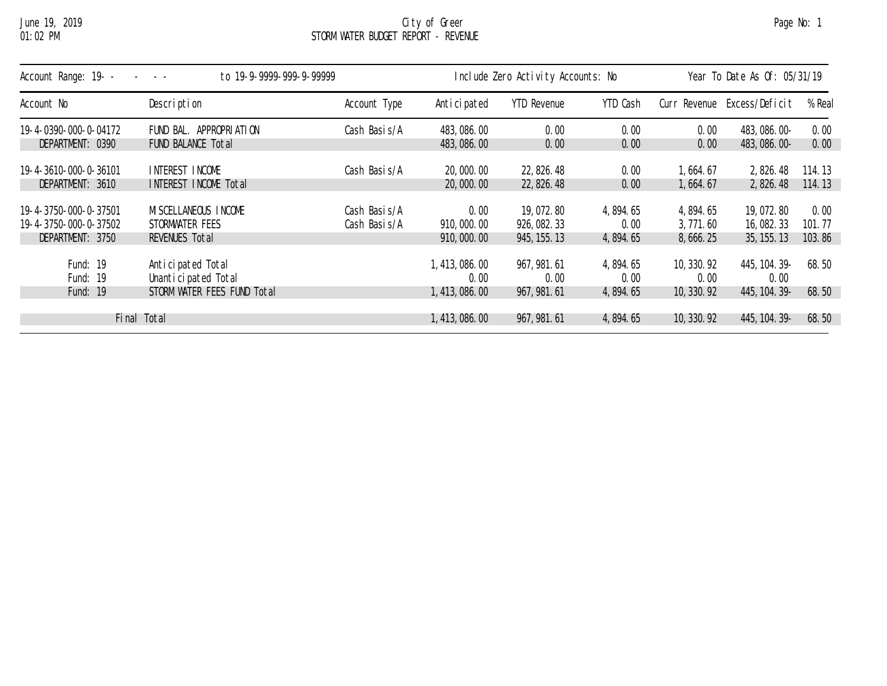## June 19, 2019 City of Greer Page No: 1 01:02 PM STORM WATER BUDGET REPORT - REVENUE

| Account Range: 19- -<br>to 19-9-9999-999-9-99999 |                                          |               | Include Zero Activity Accounts: No |                     |                    | Year To Date As Of: 05/31/19 |                       |        |  |
|--------------------------------------------------|------------------------------------------|---------------|------------------------------------|---------------------|--------------------|------------------------------|-----------------------|--------|--|
| Account No                                       | Description                              | Account Type  | Anticipated                        | <b>YTD Revenue</b>  | YTD Cash           | Curr Revenue                 | Excess/Deficit        | % Real |  |
| 19-4-0390-000-0-04172                            | FUND BAL. APPROPRIATION                  | Cash Basi s/A | 483, 086. 00                       | 0.00                | 0.00               | 0.00                         | 483, 086. 00-         | 0.00   |  |
| DEPARTMENT: 0390                                 | FUND BALANCE Total                       |               | 483, 086. 00                       | 0.00                | 0.00               | 0.00                         | 483, 086. 00-         | 0.00   |  |
| 19-4-3610-000-0-36101                            | INTEREST INCOME                          | Cash Basis/A  | 20,000.00                          | 22, 826. 48         | 0.00               | 1,664.67                     | 2, 826.48             | 114.13 |  |
| DEPARTMENT: 3610                                 | INTEREST INCOME Total                    |               | 20,000.00                          | 22, 826. 48         | 0.00               | 1,664.67                     | 2,826.48              | 114.13 |  |
| 19-4-3750-000-0-37501                            | MI SCELLANEOUS INCOME                    | Cash Basis/A  | 0.00                               | 19,072.80           | 4, 894. 65         | 4,894.65                     | 19,072.80             | 0.00   |  |
| 19-4-3750-000-0-37502                            | STORMWATER FEES                          | Cash Basi s/A | 910,000.00                         | 926, 082. 33        | 0.00               | 3,771.60                     | 16,082.33             | 101.77 |  |
| DEPARTMENT: 3750                                 | REVENUES Total                           |               | 910, 000, 00                       | 945, 155. 13        | 4, 894. 65         | 8, 666. 25                   | 35, 155, 13           | 103.86 |  |
| Fund: 19<br>Fund: 19                             | Anticipated Total<br>Unanticipated Total |               | 1, 413, 086. 00<br>0.00            | 967, 981.61<br>0.00 | 4, 894. 65<br>0.00 | 10, 330, 92<br>0.00          | 445, 104. 39-<br>0.00 | 68.50  |  |
| Fund: 19                                         | STORM WATER FEES FUND Total              |               | 1, 413, 086, 00                    | 967, 981. 61        | 4,894.65           | 10, 330. 92                  | 445, 104. 39-         | 68.50  |  |
|                                                  | Final Total                              |               | 1, 413, 086. 00                    | 967, 981. 61        | 4, 894. 65         | 10, 330. 92                  | 445, 104. 39-         | 68.50  |  |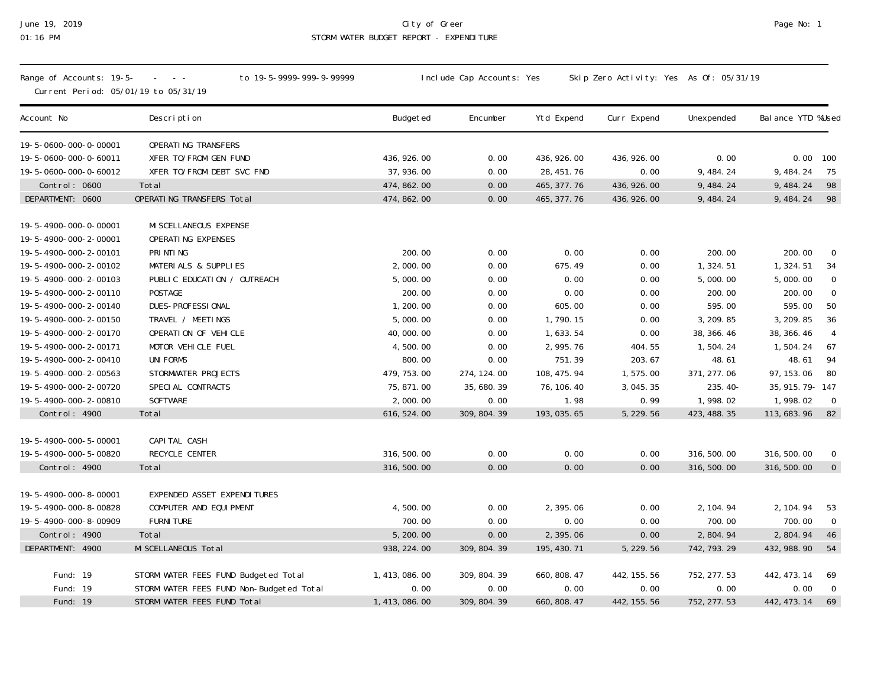## June 19, 2019 City of Greer Page No: 1 01:16 PM STORM WATER BUDGET REPORT - EXPENDITURE

| Range of Accounts: 19-5-<br>Current Period: 05/01/19 to 05/31/19 | to 19-5-9999-999-9-99999<br>$\omega_{\rm{eff}}=0.000$ |                 | Include Cap Accounts: Yes |              | Skip Zero Activity: Yes As Of: 05/31/19 |              |                                 |
|------------------------------------------------------------------|-------------------------------------------------------|-----------------|---------------------------|--------------|-----------------------------------------|--------------|---------------------------------|
| Account No                                                       | Description                                           | Budgeted        | Encumber                  | Ytd Expend   | Curr Expend                             | Unexpended   | Bal ance YTD %Used              |
| 19-5-0600-000-0-00001                                            | OPERATING TRANSFERS                                   |                 |                           |              |                                         |              |                                 |
| 19-5-0600-000-0-60011                                            | XFER TO/FROM GEN FUND                                 | 436, 926.00     | 0.00                      | 436, 926.00  | 436, 926.00                             | 0.00         | 0.00<br>100                     |
| 19-5-0600-000-0-60012                                            | XFER TO/FROM DEBT SVC FND                             | 37, 936.00      | 0.00                      | 28, 451. 76  | 0.00                                    | 9,484.24     | 9,484.24<br>75                  |
| Control: 0600                                                    | Total                                                 | 474, 862.00     | 0.00                      | 465, 377. 76 | 436, 926.00                             | 9, 484. 24   | 9, 484. 24<br>98                |
| DEPARTMENT: 0600                                                 | OPERATING TRANSFERS Total                             | 474, 862. 00    | 0.00                      | 465, 377. 76 | 436, 926.00                             | 9, 484. 24   | 98<br>9, 484. 24                |
| 19-5-4900-000-0-00001<br>19-5-4900-000-2-00001                   | MI SCELLANEOUS EXPENSE<br>OPERATING EXPENSES          |                 |                           |              |                                         |              |                                 |
| 19-5-4900-000-2-00101                                            | PRINTING                                              | 200.00          | 0.00                      | 0.00         | 0.00                                    | 200.00       | 200.00<br>- 0                   |
| 19-5-4900-000-2-00102                                            | MATERIALS & SUPPLIES                                  | 2,000.00        | 0.00                      | 675.49       | 0.00                                    | 1,324.51     | 1,324.51<br>34                  |
| 19-5-4900-000-2-00103                                            | PUBLIC EDUCATION / OUTREACH                           | 5,000.00        | 0.00                      | 0.00         | 0.00                                    | 5,000.00     | 5,000.00<br>$\overline{0}$      |
| 19-5-4900-000-2-00110                                            | POSTAGE                                               | 200.00          | 0.00                      | 0.00         | 0.00                                    | 200.00       | $\mathbb O$<br>200.00           |
| 19-5-4900-000-2-00140                                            | DUES-PROFESSIONAL                                     | 1,200.00        | 0.00                      | 605.00       | 0.00                                    | 595.00       | 595.00<br>50                    |
| 19-5-4900-000-2-00150                                            | TRAVEL / MEETINGS                                     | 5,000.00        | 0.00                      | 1,790.15     | 0.00                                    | 3, 209. 85   | 36<br>3, 209.85                 |
| 19-5-4900-000-2-00170                                            | OPERATION OF VEHICLE                                  | 40,000.00       | 0.00                      | 1,633.54     | 0.00                                    | 38, 366. 46  | $\overline{4}$<br>38, 366. 46   |
| 19-5-4900-000-2-00171                                            | MOTOR VEHICLE FUEL                                    | 4,500.00        | 0.00                      | 2, 995. 76   | 404.55                                  | 1,504.24     | 1,504.24<br>67                  |
| 19-5-4900-000-2-00410                                            | <b>UNI FORMS</b>                                      | 800.00          | 0.00                      | 751.39       | 203.67                                  | 48.61        | 48.61<br>94                     |
| 19-5-4900-000-2-00563                                            | STORMWATER PROJECTS                                   | 479, 753.00     | 274, 124.00               | 108, 475. 94 | 1,575.00                                | 371, 277.06  | 97, 153.06<br>80                |
| 19-5-4900-000-2-00720                                            | SPECIAL CONTRACTS                                     | 75, 871.00      | 35, 680. 39               | 76, 106. 40  | 3, 045. 35                              | 235.40-      | 35, 915. 79 - 147               |
| 19-5-4900-000-2-00810                                            | <b>SOFTWARE</b>                                       | 2,000.00        | 0.00                      | 1.98         | 0.99                                    | 1,998.02     | 1,998.02<br>$\overline{0}$      |
| Control: 4900                                                    | Total                                                 | 616, 524.00     | 309, 804. 39              | 193, 035.65  | 5, 229.56                               | 423, 488. 35 | 113, 683. 96<br>82              |
| 19-5-4900-000-5-00001                                            | CAPI TAL CASH                                         |                 |                           |              |                                         |              |                                 |
| 19-5-4900-000-5-00820                                            | RECYCLE CENTER                                        | 316, 500.00     | 0.00                      | 0.00         | 0.00                                    | 316, 500.00  | 316, 500.00<br>$\boldsymbol{0}$ |
| Control: 4900                                                    | Total                                                 | 316, 500.00     | 0.00                      | 0.00         | 0.00                                    | 316, 500.00  | $\overline{0}$<br>316, 500.00   |
|                                                                  |                                                       |                 |                           |              |                                         |              |                                 |
| 19-5-4900-000-8-00001                                            | EXPENDED ASSET EXPENDITURES                           |                 |                           |              |                                         |              |                                 |
| 19-5-4900-000-8-00828                                            | COMPUTER AND EQUI PMENT                               | 4,500.00        | 0.00                      | 2,395.06     | 0.00                                    | 2, 104. 94   | 2, 104.94<br>53                 |
| 19-5-4900-000-8-00909                                            | <b>FURNI TURE</b>                                     | 700.00          | 0.00                      | 0.00         | 0.00                                    | 700.00       | 700.00<br>$\overline{0}$        |
| Control: 4900                                                    | Total                                                 | 5, 200.00       | 0.00                      | 2,395.06     | 0.00                                    | 2,804.94     | 46<br>2,804.94                  |
| DEPARTMENT: 4900                                                 | MI SCELLANEOUS Total                                  | 938, 224.00     | 309, 804. 39              | 195, 430. 71 | 5, 229.56                               | 742, 793. 29 | 432, 988. 90<br>54              |
|                                                                  |                                                       |                 |                           |              |                                         |              |                                 |
| Fund: 19                                                         | STORM WATER FEES FUND Budgeted Total                  | 1, 413, 086. 00 | 309, 804. 39              | 660, 808.47  | 442, 155. 56                            | 752, 277.53  | 442, 473. 14<br>69              |
| Fund: 19                                                         | STORM WATER FEES FUND Non-Budgeted Total              | 0.00            | 0.00                      | 0.00         | 0.00                                    | 0.00         | 0.00<br>$\overline{0}$          |
| Fund: 19                                                         | STORM WATER FEES FUND Total                           | 1, 413, 086. 00 | 309, 804. 39              | 660, 808.47  | 442, 155. 56                            | 752, 277.53  | 69<br>442, 473. 14              |